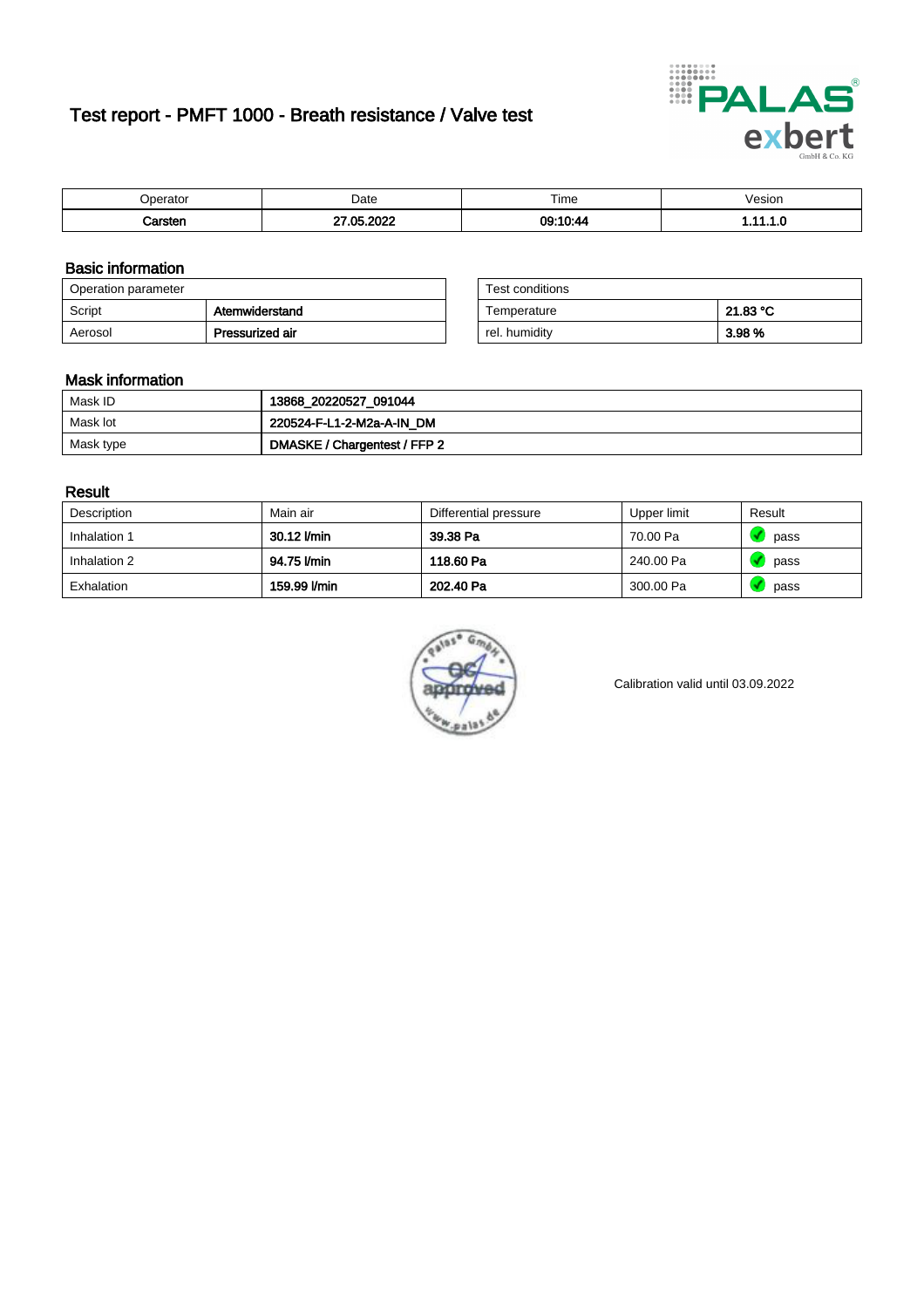# Test report - PMFT 1000 - Breath resistance / Valve test



| nerator <sup>'</sup> | Date      | $- \cdot$<br>Time | /esion |
|----------------------|-----------|-------------------|--------|
|                      | റററ<br>ΛE | 00.10A<br>υs      | .      |

### Basic information

| Operation parameter |                 | Test conditions |          |
|---------------------|-----------------|-----------------|----------|
| Script              | Atemwiderstand  | Temperature     | 21.83 °C |
| Aerosol             | Pressurized air | rel. humidity   | 3.98 %   |

| Test conditions |          |
|-----------------|----------|
| Temperature     | 21.83 °C |
| rel. humidity   | 3.98 %   |

### Mask information

| Mask ID   | 13868_20220527_091044        |
|-----------|------------------------------|
| Mask lot  | 220524-F-L1-2-M2a-A-IN_DM    |
| Mask type | DMASKE / Chargentest / FFP 2 |

### Result

| Description  | Main air     | Differential pressure | Upper limit | Result |
|--------------|--------------|-----------------------|-------------|--------|
| Inhalation 1 | 30.12 l/min  | 39.38 Pa              | 70.00 Pa    | pass   |
| Inhalation 2 | 94.75 l/min  | 118.60 Pa             | 240.00 Pa   | pass   |
| Exhalation   | 159.99 l/min | 202.40 Pa             | 300.00 Pa   | pass   |



Calibration valid until 03.09.2022